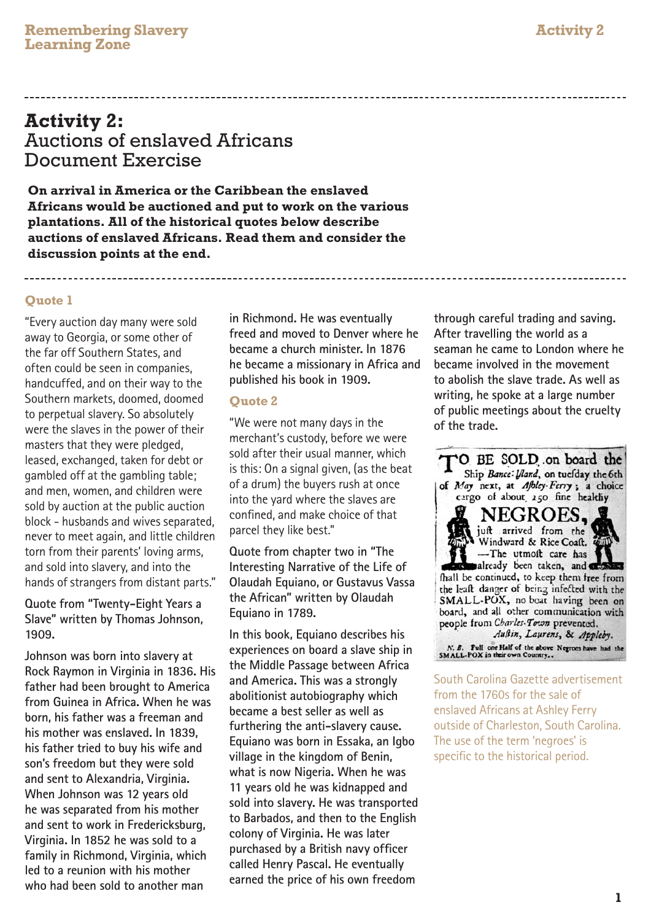## **Activity 2:** Auctions of enslaved Africans Document Exercise

**On arrival in America or the Caribbean the enslaved Africans would be auctioned and put to work on the various plantations. All of the historical quotes below describe auctions of enslaved Africans. Read them and consider the discussion points at the end.** 

### **Quote 1**

"Every auction day many were sold away to Georgia, or some other of the far off Southern States, and often could be seen in companies, handcuffed, and on their way to the Southern markets, doomed, doomed to perpetual slavery. So absolutely were the slaves in the power of their masters that they were pledged, leased, exchanged, taken for debt or gambled off at the gambling table; and men, women, and children were sold by auction at the public auction block - husbands and wives separated, never to meet again, and little children torn from their parents' loving arms, and sold into slavery, and into the hands of strangers from distant parts."

**Quote from "Twenty-Eight Years a Slave" written by Thomas Johnson, 1909.** 

**Johnson was born into slavery at Rock Raymon in Virginia in 1836. His father had been brought to America from Guinea in Africa. When he was born, his father was a freeman and his mother was enslaved. In 1839, his father tried to buy his wife and son's freedom but they were sold and sent to Alexandria, Virginia. When Johnson was 12 years old he was separated from his mother and sent to work in Fredericksburg, Virginia. In 1852 he was sold to a family in Richmond, Virginia, which led to a reunion with his mother who had been sold to another man** 

**in Richmond. He was eventually freed and moved to Denver where he became a church minister. In 1876 he became a missionary in Africa and published his book in 1909.**

### **Quote 2**

"We were not many days in the merchant's custody, before we were sold after their usual manner, which is this: On a signal given, (as the beat of a drum) the buyers rush at once into the yard where the slaves are confined, and make choice of that parcel they like best."

**Quote from chapter two in "The Interesting Narrative of the Life of Olaudah Equiano, or Gustavus Vassa the African" written by Olaudah Equiano in 1789.** 

**In this book, Equiano describes his experiences on board a slave ship in the Middle Passage between Africa and America. This was a strongly abolitionist autobiography which became a best seller as well as furthering the anti-slavery cause. Equiano was born in Essaka, an Igbo village in the kingdom of Benin, what is now Nigeria. When he was 11 years old he was kidnapped and sold into slavery. He was transported to Barbados, and then to the English colony of Virginia. He was later purchased by a British navy officer called Henry Pascal. He eventually earned the price of his own freedom** 

**through careful trading and saving. After travelling the world as a seaman he came to London where he became involved in the movement to abolish the slave trade. As well as writing, he spoke at a large number of public meetings about the cruelty of the trade.**



South Carolina Gazette advertisement from the 1760s for the sale of enslaved Africans at Ashley Ferry outside of Charleston, South Carolina. The use of the term 'negroes' is specific to the historical period.